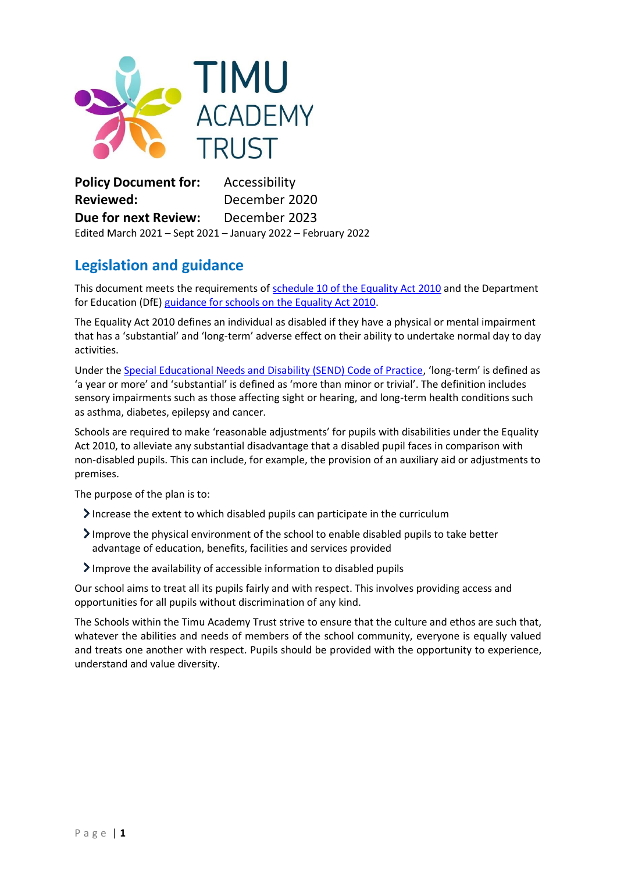

**Policy Document for:** Accessibility **Reviewed:** December 2020 **Due for next Review:** December 2023 Edited March 2021 – Sept 2021 – January 2022 – February 2022

# **Legislation and guidance**

This document meets the requirements of [schedule 10 of the Equality Act 2010](http://www.legislation.gov.uk/ukpga/2010/15/schedule/10) and the Department for Education (DfE) [guidance for schools on the Equality Act 2010.](https://www.gov.uk/government/publications/equality-act-2010-advice-for-schools)

The Equality Act 2010 defines an individual as disabled if they have a physical or mental impairment that has a 'substantial' and 'long-term' adverse effect on their ability to undertake normal day to day activities.

Under the [Special Educational Needs and Disability \(SEND\) Code of Practice](https://www.gov.uk/government/publications/send-code-of-practice-0-to-25), 'long-term' is defined as 'a year or more' and 'substantial' is defined as 'more than minor or trivial'. The definition includes sensory impairments such as those affecting sight or hearing, and long-term health conditions such as asthma, diabetes, epilepsy and cancer.

Schools are required to make 'reasonable adjustments' for pupils with disabilities under the Equality Act 2010, to alleviate any substantial disadvantage that a disabled pupil faces in comparison with non-disabled pupils. This can include, for example, the provision of an auxiliary aid or adjustments to premises.

The purpose of the plan is to:

- Increase the extent to which disabled pupils can participate in the curriculum
- Improve the physical environment of the school to enable disabled pupils to take better advantage of education, benefits, facilities and services provided
- Improve the availability of accessible information to disabled pupils

Our school aims to treat all its pupils fairly and with respect. This involves providing access and opportunities for all pupils without discrimination of any kind.

The Schools within the Timu Academy Trust strive to ensure that the culture and ethos are such that, whatever the abilities and needs of members of the school community, everyone is equally valued and treats one another with respect. Pupils should be provided with the opportunity to experience, understand and value diversity.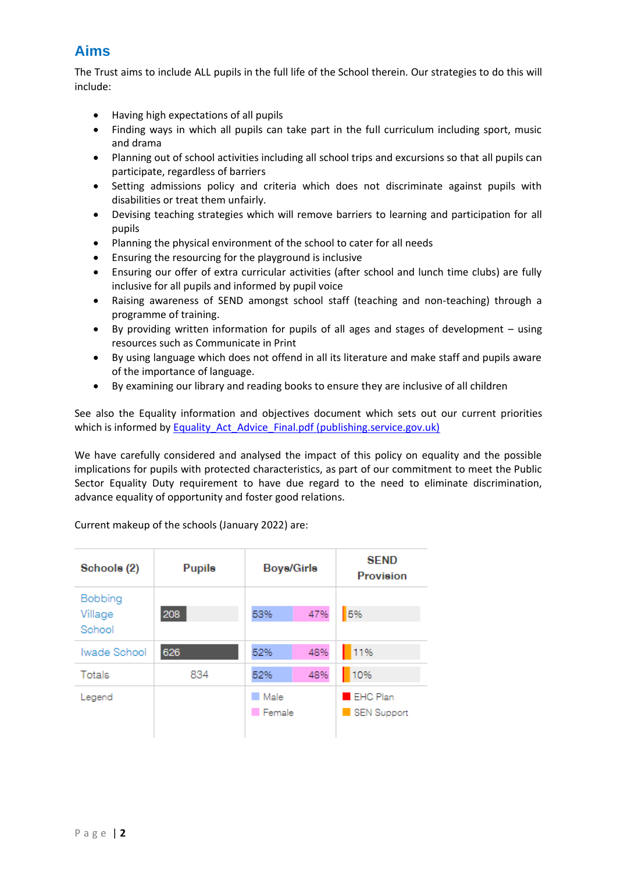## **Aims**

The Trust aims to include ALL pupils in the full life of the School therein. Our strategies to do this will include:

- Having high expectations of all pupils
- Finding ways in which all pupils can take part in the full curriculum including sport, music and drama
- Planning out of school activities including all school trips and excursions so that all pupils can participate, regardless of barriers
- Setting admissions policy and criteria which does not discriminate against pupils with disabilities or treat them unfairly.
- Devising teaching strategies which will remove barriers to learning and participation for all pupils
- Planning the physical environment of the school to cater for all needs
- Ensuring the resourcing for the playground is inclusive
- Ensuring our offer of extra curricular activities (after school and lunch time clubs) are fully inclusive for all pupils and informed by pupil voice
- Raising awareness of SEND amongst school staff (teaching and non-teaching) through a programme of training.
- By providing written information for pupils of all ages and stages of development using resources such as Communicate in Print
- By using language which does not offend in all its literature and make staff and pupils aware of the importance of language.
- By examining our library and reading books to ensure they are inclusive of all children

See also the Equality information and objectives document which sets out our current priorities which is informed by Equality Act Advice Final.pdf (publishing.service.gov.uk)

We have carefully considered and analysed the impact of this policy on equality and the possible implications for pupils with protected characteristics, as part of our commitment to meet the Public Sector Equality Duty requirement to have due regard to the need to eliminate discrimination, advance equality of opportunity and foster good relations.

| Schools (2)                  | <b>Pupils</b> | <b>Boys/Girls</b>            |     | <b>SEND</b><br><b>Provision</b> |
|------------------------------|---------------|------------------------------|-----|---------------------------------|
| Bobbing<br>Village<br>School | 208           | 53%                          | 47% | 5%                              |
| Iwade School                 | 626           | 52%                          | 48% | 11%                             |
| Totals                       | 834           | 52%                          | 48% | 10%                             |
| Legend                       |               | <b>Male</b><br><b>Female</b> |     | <b>EHC Plan</b><br>SEN Support  |

Current makeup of the schools (January 2022) are: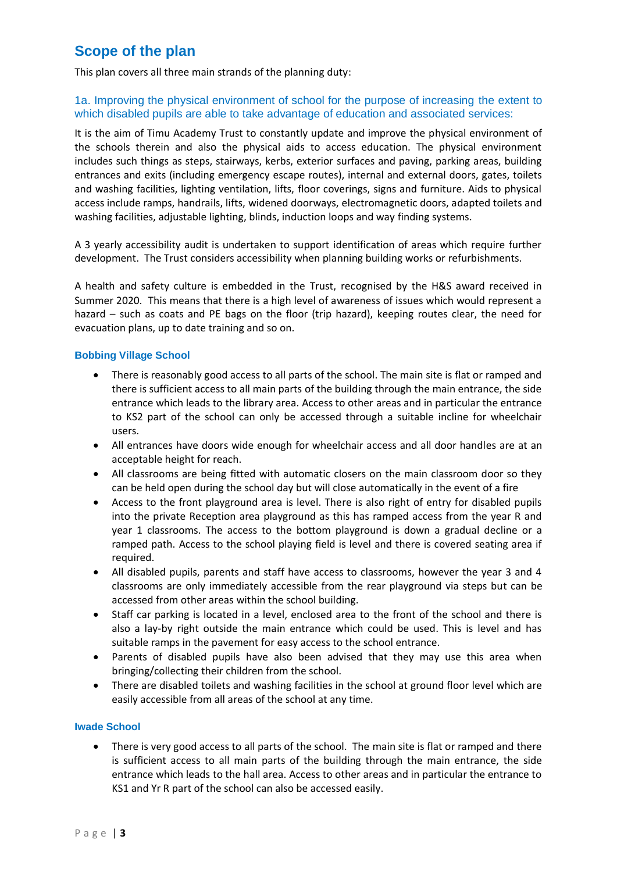## **Scope of the plan**

This plan covers all three main strands of the planning duty:

## 1a. Improving the physical environment of school for the purpose of increasing the extent to which disabled pupils are able to take advantage of education and associated services:

It is the aim of Timu Academy Trust to constantly update and improve the physical environment of the schools therein and also the physical aids to access education. The physical environment includes such things as steps, stairways, kerbs, exterior surfaces and paving, parking areas, building entrances and exits (including emergency escape routes), internal and external doors, gates, toilets and washing facilities, lighting ventilation, lifts, floor coverings, signs and furniture. Aids to physical access include ramps, handrails, lifts, widened doorways, electromagnetic doors, adapted toilets and washing facilities, adjustable lighting, blinds, induction loops and way finding systems.

A 3 yearly accessibility audit is undertaken to support identification of areas which require further development. The Trust considers accessibility when planning building works or refurbishments.

A health and safety culture is embedded in the Trust, recognised by the H&S award received in Summer 2020. This means that there is a high level of awareness of issues which would represent a hazard – such as coats and PE bags on the floor (trip hazard), keeping routes clear, the need for evacuation plans, up to date training and so on.

#### **Bobbing Village School**

- There is reasonably good access to all parts of the school. The main site is flat or ramped and there is sufficient access to all main parts of the building through the main entrance, the side entrance which leads to the library area. Access to other areas and in particular the entrance to KS2 part of the school can only be accessed through a suitable incline for wheelchair users.
- All entrances have doors wide enough for wheelchair access and all door handles are at an acceptable height for reach.
- All classrooms are being fitted with automatic closers on the main classroom door so they can be held open during the school day but will close automatically in the event of a fire
- Access to the front playground area is level. There is also right of entry for disabled pupils into the private Reception area playground as this has ramped access from the year R and year 1 classrooms. The access to the bottom playground is down a gradual decline or a ramped path. Access to the school playing field is level and there is covered seating area if required.
- All disabled pupils, parents and staff have access to classrooms, however the year 3 and 4 classrooms are only immediately accessible from the rear playground via steps but can be accessed from other areas within the school building.
- Staff car parking is located in a level, enclosed area to the front of the school and there is also a lay-by right outside the main entrance which could be used. This is level and has suitable ramps in the pavement for easy access to the school entrance.
- Parents of disabled pupils have also been advised that they may use this area when bringing/collecting their children from the school.
- There are disabled toilets and washing facilities in the school at ground floor level which are easily accessible from all areas of the school at any time.

#### **Iwade School**

• There is very good access to all parts of the school. The main site is flat or ramped and there is sufficient access to all main parts of the building through the main entrance, the side entrance which leads to the hall area. Access to other areas and in particular the entrance to KS1 and Yr R part of the school can also be accessed easily.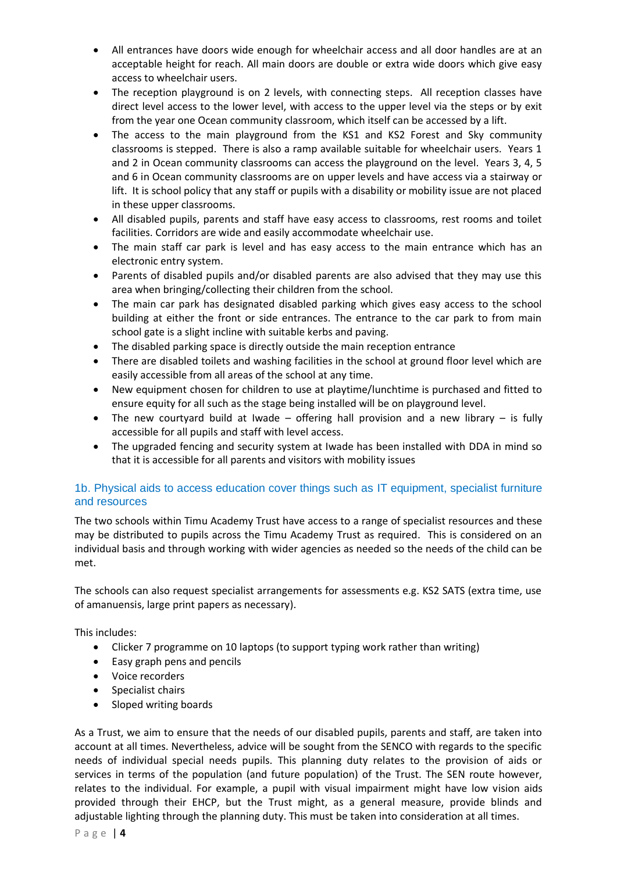- All entrances have doors wide enough for wheelchair access and all door handles are at an acceptable height for reach. All main doors are double or extra wide doors which give easy access to wheelchair users.
- The reception playground is on 2 levels, with connecting steps. All reception classes have direct level access to the lower level, with access to the upper level via the steps or by exit from the year one Ocean community classroom, which itself can be accessed by a lift.
- The access to the main playground from the KS1 and KS2 Forest and Sky community classrooms is stepped. There is also a ramp available suitable for wheelchair users. Years 1 and 2 in Ocean community classrooms can access the playground on the level. Years 3, 4, 5 and 6 in Ocean community classrooms are on upper levels and have access via a stairway or lift. It is school policy that any staff or pupils with a disability or mobility issue are not placed in these upper classrooms.
- All disabled pupils, parents and staff have easy access to classrooms, rest rooms and toilet facilities. Corridors are wide and easily accommodate wheelchair use.
- The main staff car park is level and has easy access to the main entrance which has an electronic entry system.
- Parents of disabled pupils and/or disabled parents are also advised that they may use this area when bringing/collecting their children from the school.
- The main car park has designated disabled parking which gives easy access to the school building at either the front or side entrances. The entrance to the car park to from main school gate is a slight incline with suitable kerbs and paving.
- The disabled parking space is directly outside the main reception entrance
- There are disabled toilets and washing facilities in the school at ground floor level which are easily accessible from all areas of the school at any time.
- New equipment chosen for children to use at playtime/lunchtime is purchased and fitted to ensure equity for all such as the stage being installed will be on playground level.
- The new courtyard build at Iwade offering hall provision and a new library is fully accessible for all pupils and staff with level access.
- The upgraded fencing and security system at Iwade has been installed with DDA in mind so that it is accessible for all parents and visitors with mobility issues

## 1b. Physical aids to access education cover things such as IT equipment, specialist furniture and resources

The two schools within Timu Academy Trust have access to a range of specialist resources and these may be distributed to pupils across the Timu Academy Trust as required. This is considered on an individual basis and through working with wider agencies as needed so the needs of the child can be met.

The schools can also request specialist arrangements for assessments e.g. KS2 SATS (extra time, use of amanuensis, large print papers as necessary).

This includes:

- Clicker 7 programme on 10 laptops (to support typing work rather than writing)
- Easy graph pens and pencils
- Voice recorders
- Specialist chairs
- Sloped writing boards

As a Trust, we aim to ensure that the needs of our disabled pupils, parents and staff, are taken into account at all times. Nevertheless, advice will be sought from the SENCO with regards to the specific needs of individual special needs pupils. This planning duty relates to the provision of aids or services in terms of the population (and future population) of the Trust. The SEN route however, relates to the individual. For example, a pupil with visual impairment might have low vision aids provided through their EHCP, but the Trust might, as a general measure, provide blinds and adjustable lighting through the planning duty. This must be taken into consideration at all times.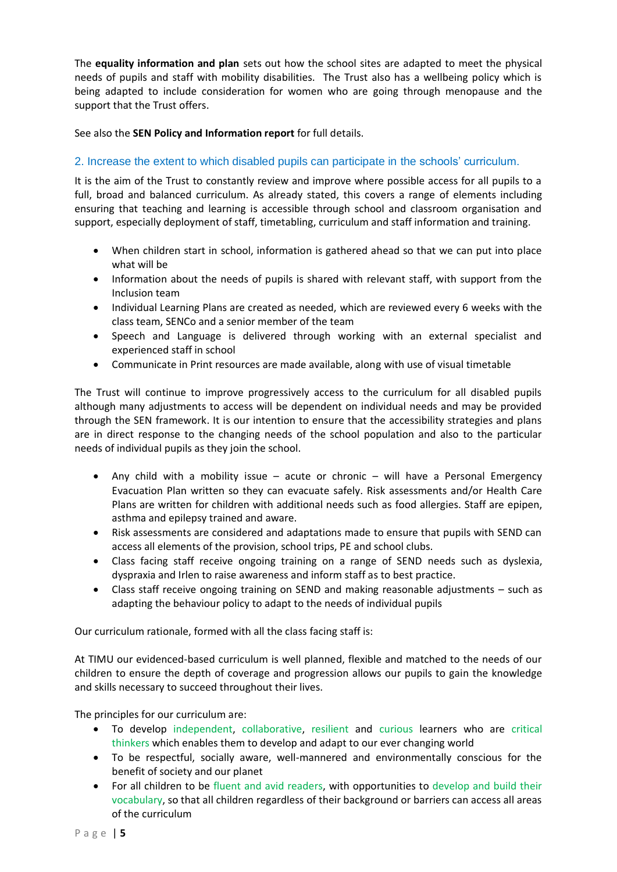The **equality information and plan** sets out how the school sites are adapted to meet the physical needs of pupils and staff with mobility disabilities. The Trust also has a wellbeing policy which is being adapted to include consideration for women who are going through menopause and the support that the Trust offers.

See also the **SEN Policy and Information report** for full details.

## 2. Increase the extent to which disabled pupils can participate in the schools' curriculum.

It is the aim of the Trust to constantly review and improve where possible access for all pupils to a full, broad and balanced curriculum. As already stated, this covers a range of elements including ensuring that teaching and learning is accessible through school and classroom organisation and support, especially deployment of staff, timetabling, curriculum and staff information and training.

- When children start in school, information is gathered ahead so that we can put into place what will be
- Information about the needs of pupils is shared with relevant staff, with support from the Inclusion team
- Individual Learning Plans are created as needed, which are reviewed every 6 weeks with the class team, SENCo and a senior member of the team
- Speech and Language is delivered through working with an external specialist and experienced staff in school
- Communicate in Print resources are made available, along with use of visual timetable

The Trust will continue to improve progressively access to the curriculum for all disabled pupils although many adjustments to access will be dependent on individual needs and may be provided through the SEN framework. It is our intention to ensure that the accessibility strategies and plans are in direct response to the changing needs of the school population and also to the particular needs of individual pupils as they join the school.

- Any child with a mobility issue  $-$  acute or chronic  $-$  will have a Personal Emergency Evacuation Plan written so they can evacuate safely. Risk assessments and/or Health Care Plans are written for children with additional needs such as food allergies. Staff are epipen, asthma and epilepsy trained and aware.
- Risk assessments are considered and adaptations made to ensure that pupils with SEND can access all elements of the provision, school trips, PE and school clubs.
- Class facing staff receive ongoing training on a range of SEND needs such as dyslexia, dyspraxia and Irlen to raise awareness and inform staff as to best practice.
- Class staff receive ongoing training on SEND and making reasonable adjustments such as adapting the behaviour policy to adapt to the needs of individual pupils

Our curriculum rationale, formed with all the class facing staff is:

At TIMU our evidenced-based curriculum is well planned, flexible and matched to the needs of our children to ensure the depth of coverage and progression allows our pupils to gain the knowledge and skills necessary to succeed throughout their lives.

The principles for our curriculum are:

- To develop independent, collaborative, resilient and curious learners who are critical thinkers which enables them to develop and adapt to our ever changing world
- To be respectful, socially aware, well-mannered and environmentally conscious for the benefit of society and our planet
- For all children to be fluent and avid readers, with opportunities to develop and build their vocabulary, so that all children regardless of their background or barriers can access all areas of the curriculum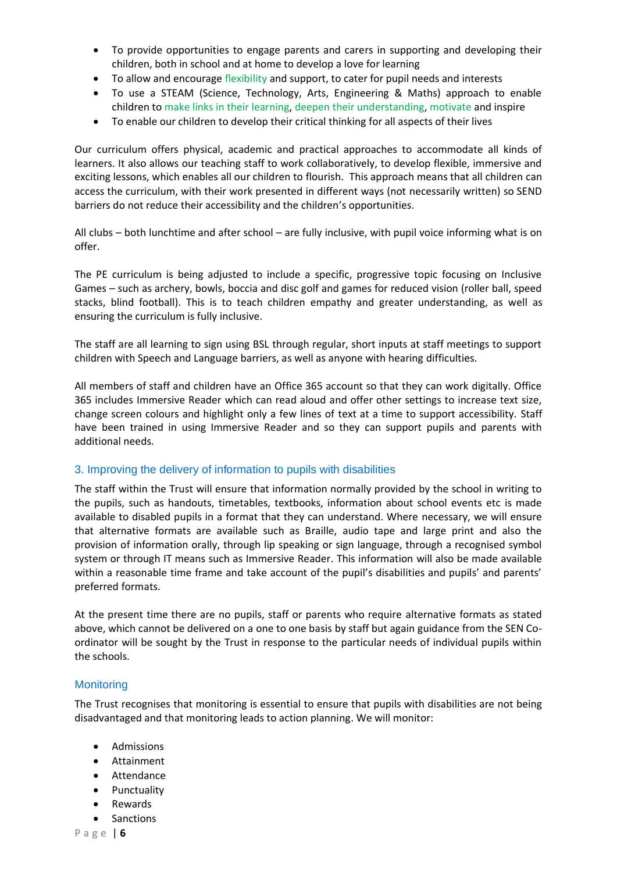- To provide opportunities to engage parents and carers in supporting and developing their children, both in school and at home to develop a love for learning
- To allow and encourage flexibility and support, to cater for pupil needs and interests
- To use a STEAM (Science, Technology, Arts, Engineering & Maths) approach to enable children to make links in their learning, deepen their understanding, motivate and inspire
- To enable our children to develop their critical thinking for all aspects of their lives

Our curriculum offers physical, academic and practical approaches to accommodate all kinds of learners. It also allows our teaching staff to work collaboratively, to develop flexible, immersive and exciting lessons, which enables all our children to flourish. This approach means that all children can access the curriculum, with their work presented in different ways (not necessarily written) so SEND barriers do not reduce their accessibility and the children's opportunities.

All clubs – both lunchtime and after school – are fully inclusive, with pupil voice informing what is on offer.

The PE curriculum is being adjusted to include a specific, progressive topic focusing on Inclusive Games – such as archery, bowls, boccia and disc golf and games for reduced vision (roller ball, speed stacks, blind football). This is to teach children empathy and greater understanding, as well as ensuring the curriculum is fully inclusive.

The staff are all learning to sign using BSL through regular, short inputs at staff meetings to support children with Speech and Language barriers, as well as anyone with hearing difficulties.

All members of staff and children have an Office 365 account so that they can work digitally. Office 365 includes Immersive Reader which can read aloud and offer other settings to increase text size, change screen colours and highlight only a few lines of text at a time to support accessibility. Staff have been trained in using Immersive Reader and so they can support pupils and parents with additional needs.

#### 3. Improving the delivery of information to pupils with disabilities

The staff within the Trust will ensure that information normally provided by the school in writing to the pupils, such as handouts, timetables, textbooks, information about school events etc is made available to disabled pupils in a format that they can understand. Where necessary, we will ensure that alternative formats are available such as Braille, audio tape and large print and also the provision of information orally, through lip speaking or sign language, through a recognised symbol system or through IT means such as Immersive Reader. This information will also be made available within a reasonable time frame and take account of the pupil's disabilities and pupils' and parents' preferred formats.

At the present time there are no pupils, staff or parents who require alternative formats as stated above, which cannot be delivered on a one to one basis by staff but again guidance from the SEN Coordinator will be sought by the Trust in response to the particular needs of individual pupils within the schools.

## **Monitoring**

The Trust recognises that monitoring is essential to ensure that pupils with disabilities are not being disadvantaged and that monitoring leads to action planning. We will monitor:

- Admissions
- Attainment
- Attendance
- Punctuality
- Rewards
- Sanctions